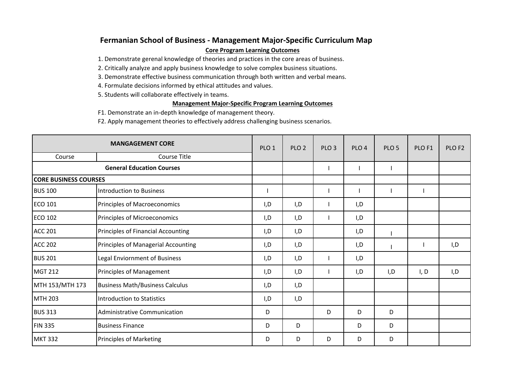## **Fermanian School of Business ‐ Management Major‐Specific Curriculum Map Core Program Learning Outcomes**

1. Demonstrate gerenal knowledge of theories and practices in the core areas of business.

2. Critically analyze and apply business knowledge to solve complex business situations.

3. Demonstrate effective business communication through both written and verbal means.

4. Formulate decisions informed by ethical attitudes and values.

5. Students will collaborate effectively in teams.

## **Management Major‐Specific Program Learning Outcomes**

F1. Demonstrate an in‐depth knowledge of management theory.

F2. Apply management theories to effectively address challenging business scenarios.

| <b>MANGAGEMENT CORE</b>          |                                        | PLO <sub>1</sub> | PLO <sub>2</sub> | PLO <sub>3</sub> | PLO <sub>4</sub> | PLO <sub>5</sub> | PLO <sub>F1</sub> | PLO <sub>F2</sub> |
|----------------------------------|----------------------------------------|------------------|------------------|------------------|------------------|------------------|-------------------|-------------------|
| Course                           | <b>Course Title</b>                    |                  |                  |                  |                  |                  |                   |                   |
| <b>General Education Courses</b> |                                        |                  |                  |                  |                  |                  |                   |                   |
| <b>CORE BUSINESS COURSES</b>     |                                        |                  |                  |                  |                  |                  |                   |                   |
| <b>BUS 100</b>                   | Introduction to Business               |                  |                  |                  |                  |                  |                   |                   |
| <b>ECO 101</b>                   | Principles of Macroeconomics           | I,D              | I, D             |                  | I,D              |                  |                   |                   |
| <b>ECO 102</b>                   | Principles of Microeconomics           | I, D             | I, D             |                  | I, D             |                  |                   |                   |
| <b>ACC 201</b>                   | Principles of Financial Accounting     | I,D              | I,D              |                  | I,D              |                  |                   |                   |
| <b>ACC 202</b>                   | Principles of Managerial Accounting    | I,D              | I, D             |                  | I,D              |                  |                   | I, D              |
| <b>BUS 201</b>                   | Legal Enviornment of Business          | I,D              | I, D             |                  | I,D              |                  |                   |                   |
| <b>MGT 212</b>                   | Principles of Management               | I,D              | I, D             |                  | I, D             | I, D             | I, D              | I,D               |
| MTH 153/MTH 173                  | <b>Business Math/Business Calculus</b> | I,D              | I, D             |                  |                  |                  |                   |                   |
| <b>MTH 203</b>                   | Introduction to Statistics             | I,D              | I, D             |                  |                  |                  |                   |                   |
| <b>BUS 313</b>                   | Administrative Communication           | D                |                  | D                | D                | D                |                   |                   |
| <b>FIN 335</b>                   | <b>Business Finance</b>                | D                | D                |                  | D                | D                |                   |                   |
| <b>MKT 332</b>                   | <b>Principles of Marketing</b>         | D                | D                | D                | D                | D                |                   |                   |